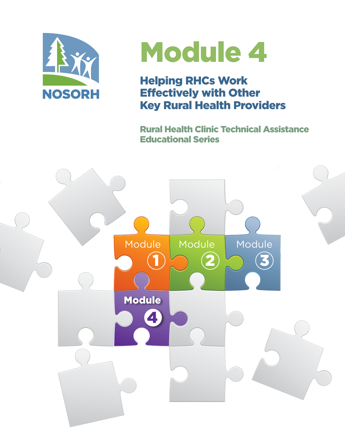

# Module 4

Helping RHCs Work Effectively with Other Key Rural Health Providers

Rural Health Clinic Technical Assistance Educational Series

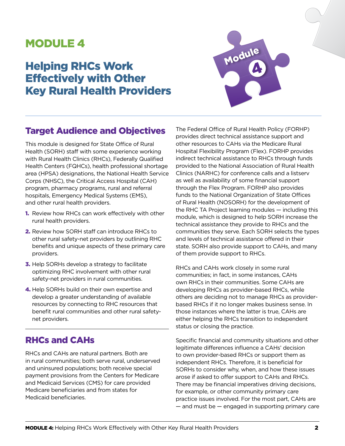## MODULE 4

# Helping RHCs Work Effectively with Other Key Rural Health Providers



## Target Audience and Objectives

This module is designed for State Office of Rural Health (SORH) staff with some experience working with Rural Health Clinics (RHCs), Federally Qualified Health Centers (FQHCs), health professional shortage area (HPSA) designations, the National Health Service Corps (NHSC), the Critical Access Hospital (CAH) program, pharmacy programs, rural and referral hospitals, Emergency Medical Systems (EMS), and other rural health providers.

- 1. Review how RHCs can work effectively with other rural health providers.
- 2. Review how SORH staff can introduce RHCs to other rural safety-net providers by outlining RHC benefits and unique aspects of these primary care providers.
- **3.** Help SORHs develop a strategy to facilitate optimizing RHC involvement with other rural safety-net providers in rural communities.
- 4. Help SORHs build on their own expertise and develop a greater understanding of available resources by connecting to RHC resources that benefit rural communities and other rural safetynet providers.

## RHCs and CAHs

RHCs and CAHs are natural partners. Both are in rural communities; both serve rural, underserved and uninsured populations; both receive special payment provisions from the Centers for Medicare and Medicaid Services (CMS) for care provided Medicare beneficiaries and from states for Medicaid beneficiaries.

The Federal Office of Rural Health Policy (FORHP) provides direct technical assistance support and other resources to CAHs via the Medicare Rural Hospital Flexibility Program (Flex). FORHP provides indirect technical assistance to RHCs through funds provided to the National Association of Rural Health Clinics (NARHC) for conference calls and a listserv as well as availability of some financial support through the Flex Program. FORHP also provides funds to the National Organization of State Offices of Rural Health (NOSORH) for the development of the RHC TA Project learning modules — including this module, which is designed to help SORH increase the technical assistance they provide to RHCs and the communities they serve. Each SORH selects the types and levels of technical assistance offered in their state. SORH also provide support to CAHs, and many of them provide support to RHCs.

RHCs and CAHs work closely in some rural communities; in fact, in some instances, CAHs own RHCs in their communities. Some CAHs are developing RHCs as provider-based RHCs, while others are deciding not to manage RHCs as providerbased RHCs if it no longer makes business sense. In those instances where the latter is true, CAHs are either helping the RHCs transition to independent status or closing the practice.

Specific financial and community situations and other legitimate differences influence a CAHs' decision to own provider-based RHCs or support them as independent RHCs. Therefore, it is beneficial for SORHs to consider why, when, and how these issues arose if asked to offer support to CAHs and RHCs. There may be financial imperatives driving decisions, for example, or other community primary care practice issues involved. For the most part, CAHs are — and must be — engaged in supporting primary care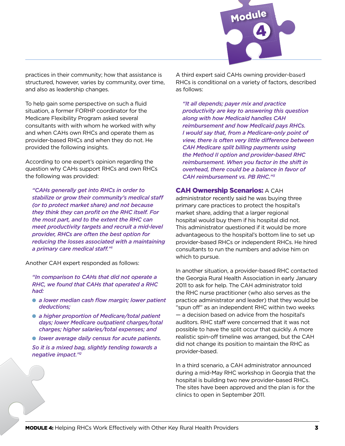

practices in their community; how that assistance is structured, however, varies by community, over time, and also as leadership changes.

To help gain some perspective on such a fluid situation, a former FORHP coordinator for the Medicare Flexibility Program asked several consultants with with whom he worked with why and when CAHs own RHCs and operate them as provider-based RHCs and when they do not. He provided the following insights.

According to one expert's opinion regarding the question why CAHs support RHCs and own RHCs the following was provided:

*"CAHs generally get into RHCs in order to stabilize or grow their community's medical staff (or to protect market share) and not because they think they can profit on the RHC itself. For the most part, and to the extent the RHC can meet productivity targets and recruit a mid-level provider, RHCs are often the best option for reducing the losses associated with a maintaining a primary care medical staff."1*

Another CAH expert responded as follows:

*"In comparison to CAHs that did not operate a RHC, we found that CAHs that operated a RHC had:*

- **•** a lower median cash flow margin; lower patient *deductions;*
- **•** a higher proportion of Medicare/total patient *days; lower Medicare outpatient charges/total charges; higher salaries/total expenses; and*
- $\bullet$  *lower average daily census for acute patients.*

*So it is a mixed bag, slightly tending towards a negative impact."2*

A third expert said CAHs owning provider-based RHCs is conditional on a variety of factors, described as follows:

*"It all depends; payer mix and practice productivity are key to answering this question along with how Medicaid handles CAH reimbursement and how Medicaid pays RHCs. I would say that, from a Medicare-only point of view, there is often very little difference between CAH Medicare split billing payments using the Method II option and provider-based RHC reimbursement. When you factor in the shift in overhead, there could be a balance in favor of CAH reimbursement vs. PB RHC."3*

#### CAH Ownership Scenarios: A CAH

administrator recently said he was buying three primary care practices to protect the hospital's market share, adding that a larger regional hospital would buy them if his hospital did not. This administrator questioned if it would be more advantageous to the hospital's bottom line to set up provider-based RHCs or independent RHCs. He hired consultants to run the numbers and advise him on which to pursue.

In another situation, a provider-based RHC contacted the Georgia Rural Health Association in early January 2011 to ask for help. The CAH administrator told the RHC nurse practitioner (who also serves as the practice administrator and leader) that they would be "spun off" as an independent RHC within two weeks — a decision based on advice from the hospital's auditors. RHC staff were concerned that it was not possible to have the split occur that quickly. A more realistic spin-off timeline was arranged, but the CAH did not change its position to maintain the RHC as provider-based.

In a third scenario, a CAH administrator announced during a mid-May RHC workshop in Georgia that the hospital is building two new provider-based RHCs. The sites have been approved and the plan is for the clinics to open in September 2011.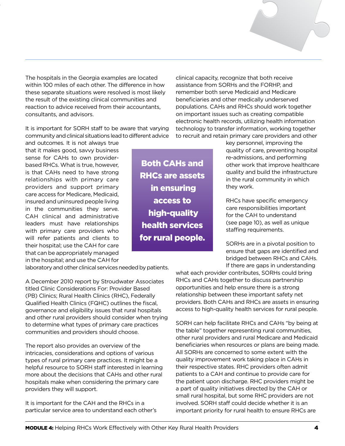The hospitals in the Georgia examples are located within 100 miles of each other. The difference in how these separate situations were resolved is most likely the result of the existing clinical communities and reaction to advice received from their accountants, consultants, and advisors.

It is important for SORH staff to be aware that varying community and clinical situations lead to different advice

Both CAHs and

RHCs are assets

in ensuring

access to

high-quality

health services

for rural people.

and outcomes. It is not always true that it makes good, savvy business sense for CAHs to own providerbased RHCs. What is true, however, is that CAHs need to have strong relationships with primary care providers and support primary care access for Medicare, Medicaid, insured and uninsured people living in the communities they serve. CAH clinical and administrative leaders must have relationships with primary care providers who will refer patients and clients to their hospital; use the CAH for care that can be appropriately managed in the hospital; and use the CAH for

1<br>1<br>1

laboratory and other clinical services needed by patients.

A December 2010 report by Stroudwater Associates titled Clinic Considerations For: Provider Based (PB) Clinics; Rural Health Clinics (RHC), Federally Qualified Health Clinics (FQHC) outlines the fiscal, governance and eligibility issues that rural hospitals and other rural providers should consider when trying to determine what types of primary care practices communities and providers should choose.

The report also provides an overview of the intricacies, considerations and options of various types of rural primary care practices. It might be a helpful resource to SORH staff interested in learning more about the decisions that CAHs and other rural hospitals make when considering the primary care providers they will support.

It is important for the CAH and the RHCs in a particular service area to understand each other's clinical capacity, recognize that both receive assistance from SORHs and the FORHP, and remember both serve Medicaid and Medicare beneficiaries and other medically underserved populations. CAHs and RHCs should work together on important issues such as creating compatible electronic health records, utilizing health information technology to transfer information, working together to recruit and retain primary care providers and other

> key personnel, improving the quality of care, preventing hospital re-admissions, and performing other work that improve healthcare quality and build the infrastructure in the rural community in which they work.

RHCs have specific emergency care responsibilities important for the CAH to understand (see page 10), as well as unique staffing requirements.

SORHs are in a pivotal position to ensure that gaps are identified and bridged between RHCs and CAHs. If there are gaps in understanding

what each provider contributes, SORHs could bring RHCs and CAHs together to discuss partnership opportunities and help ensure there is a strong relationship between these important safety net providers. Both CAHs and RHCs are assets in ensuring access to high-quality health services for rural people.

SORH can help facilitate RHCs and CAHs "by being at the table" together representing rural communities, other rural providers and rural Medicare and Medicaid beneficiaries when resources or plans are being made. All SORHs are concerned to some extent with the quality improvement work taking place in CAHs in their respective states. RHC providers often admit patients to a CAH and continue to provide care for the patient upon discharge. RHC providers might be a part of quality initiatives directed by the CAH or small rural hospital, but some RHC providers are not involved. SORH staff could decide whether it is an important priority for rural health to ensure RHCs are

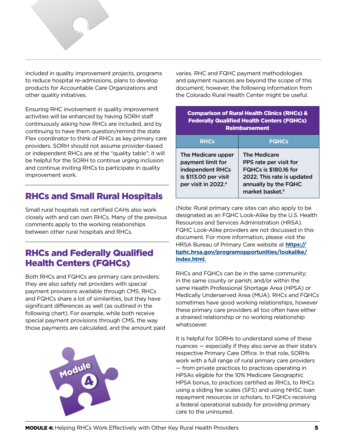

included in quality improvement projects, programs 1 to reduce hospital re-admissions, plans to develop products for Accountable Care Organizations and other quality initiatives.

Ensuring RHC involvement in quality improvement activities will be enhanced by having SORH staff continuously asking how RHCs are included, and by continuing to have them question/remind the state Flex coordinator to think of RHCs as key primary care providers. SORH should not assume provider-based or independent RHCs are at the "quality table"; it will be helpful for the SORH to continue urging inclusion and continue inviting RHCs to participate in quality improvement work.

## RHCs and Small Rural Hospitals

Small rural hospitals not certified CAHs also work closely with and can own RHCs. Many of the previous comments apply to the working relationships between other rural hospitals and RHCs.

## RHCs and Federally Qualified Health Centers (FQHCs)

Both RHCs and FQHCs are primary care providers; they are also safety net providers with special payment provisions available through CMS. RHCs and FQHCs share a lot of similarities, but they have significant differences as well (as outlined in the following chart). For example, while both receive special payment provisions through CMS, the way those payments are calculated, and the amount paid varies. RHC and FQHC payment methodologies and payment nuances are beyond the scope of this document; however, the following information from the Colorado Rural Health Center might be useful.

| <b>Comparison of Rural Health Clinics (RHCs) &amp;</b><br><b>Federally Qualified Health Centers (FQHCs)</b><br><b>Reimbursement</b> |                                                                                                                                                                    |  |  |  |
|-------------------------------------------------------------------------------------------------------------------------------------|--------------------------------------------------------------------------------------------------------------------------------------------------------------------|--|--|--|
| <b>RHCs</b>                                                                                                                         | <b>FQHCs</b>                                                                                                                                                       |  |  |  |
| The Medicare upper<br>payment limit for<br>independent RHCs<br>is \$113.00 per visit<br>per visit in 2022. <sup>4</sup>             | <b>The Medicare</b><br>PPS rate per visit for<br><b>FQHCs is \$180.16 for</b><br>2022. This rate is updated<br>annually by the FQHC<br>market basket. <sup>5</sup> |  |  |  |

(Note: Rural primary care sites can also apply to be designated as an FQHC Look-Alike by the U.S. Health Resources and Services Administration (HRSA). FQHC Look-Alike providers are not discussed in this document. For more information, please visit the HRSA Bureau of Primary Care website at **[https://](https://bphc.hrsa.gov/programopportunities/lookalike/index.html) [bphc.hrsa.gov/programopportunities/lookalike/](https://bphc.hrsa.gov/programopportunities/lookalike/index.html) [index.html](https://bphc.hrsa.gov/programopportunities/lookalike/index.html)**[.](https://bphc.hrsa.gov/programopportunities/lookalike/index.html.)

RHCs and FQHCs can be in the same community; in the same county or parish; and/or within the same Health Professional Shortage Area (HPSA) or Medically Underserved Area (MUA). RHCs and FQHCs sometimes have good working relationships, however these primary care providers all too often have either a strained relationship or no working relationship whatsoever.

It is helpful for SORHs to understand some of these nuances — especially if they also serve as their state's respective Primary Care Office. In that role, SORHs work with a full range of rural primary care providers — from private practices to practices operating in HPSAs eligible for the 10% Medicare Geographic HPSA bonus, to practices certified as RHCs, to RHCs using a sliding fee scales (SFS) and using NHSC loan repayment resources or scholars, to FQHCs receiving a federal operational subsidy for providing primary care to the uninsured.

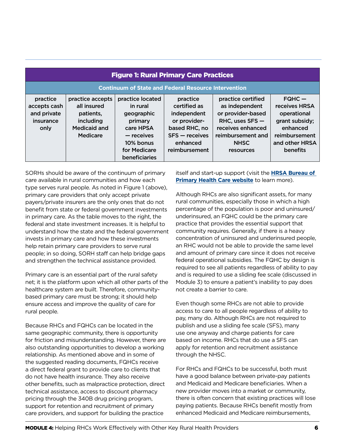| <b>Figure 1: Rural Primary Care Practices</b>                |                                                                                       |                                                                                                                                |                                                                                                                           |                                                                                                                                                      |                                                                                                                       |  |
|--------------------------------------------------------------|---------------------------------------------------------------------------------------|--------------------------------------------------------------------------------------------------------------------------------|---------------------------------------------------------------------------------------------------------------------------|------------------------------------------------------------------------------------------------------------------------------------------------------|-----------------------------------------------------------------------------------------------------------------------|--|
| <b>Continuum of State and Federal Resource Intervention</b>  |                                                                                       |                                                                                                                                |                                                                                                                           |                                                                                                                                                      |                                                                                                                       |  |
| practice<br>accepts cash<br>and private<br>insurance<br>only | practice accepts<br>all insured<br>patients,<br>including<br>Medicaid and<br>Medicare | practice located<br>in rural<br>geographic<br>primary<br>care HPSA<br>- receives<br>10% bonus<br>for Medicare<br>beneficiaries | practice<br>certified as<br>independent<br>or provider-<br>based RHC, no<br>$SFS - receives$<br>enhanced<br>reimbursement | practice certified<br>as independent<br>or provider-based<br>RHC, uses $SFS$ –<br>receives enhanced<br>reimbursement and<br><b>NHSC</b><br>resources | $FQHC -$<br>receives HRSA<br>operational<br>grant subsidy;<br>enhanced<br>reimbursement<br>and other HRSA<br>benefits |  |

SORHs should be aware of the continuum of primary care available in rural communities and how each type serves rural people. As noted in Figure 1 (above), primary care providers that only accept private payers/private insurers are the only ones that do not benefit from state or federal government investments in primary care. As the table moves to the right, the federal and state investment increases. It is helpful to understand how the state and the federal government invests in primary care and how these investments help retain primary care providers to serve rural people; in so doing, SORH staff can help bridge gaps and strengthen the technical assistance provided.

Primary care is an essential part of the rural safety net; it is the platform upon which all other parts of the healthcare system are built. Therefore, communitybased primary care must be strong; it should help ensure access and improve the quality of care for rural people.

Because RHCs and FQHCs can be located in the same geographic community, there is opportunity for friction and misunderstanding. However, there are also outstanding opportunities to develop a working relationship. As mentioned above and in some of the suggested reading documents, FQHCs receive a direct federal grant to provide care to clients that do not have health insurance. They also receive other benefits, such as malpractice protection, direct technical assistance, access to discount pharmacy pricing through the 340B drug pricing program, support for retention and recruitment of primary care providers, and support for building the practice

itself and start-up support (visit the **[HRSA Bureau of](https://bphc.hrsa.gov/programrequirements)  [Primary Health Care website](https://bphc.hrsa.gov/programrequirements)** to learn more).

Although RHCs are also significant assets, for many rural communities, especially those in which a high percentage of the population is poor and uninsured/ underinsured, an FQHC could be the primary care practice that provides the essential support that community requires. Generally, if there is a heavy concentration of uninsured and underinsured people, an RHC would not be able to provide the same level and amount of primary care since it does not receive federal operational subsidies. The FQHC by design is required to see all patients regardless of ability to pay and is required to use a sliding fee scale (discussed in Module 3) to ensure a patient's inability to pay does not create a barrier to care.

Even though some RHCs are not able to provide access to care to all people regardless of ability to pay, many do. Although RHCs are not required to publish and use a sliding fee scale (SFS), many use one anyway and charge patients for care based on income. RHCs that do use a SFS can apply for retention and recruitment assistance through the NHSC.

For RHCs and FQHCs to be successful, both must have a good balance between private-pay patients and Medicaid and Medicare beneficiaries. When a new provider moves into a market or community, there is often concern that existing practices will lose paying patients. Because RHCs benefit mostly from enhanced Medicaid and Medicare reimbursements,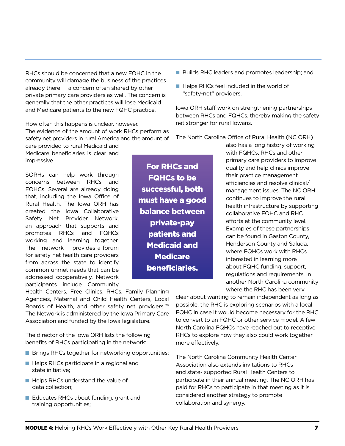RHCs should be concerned that a new FQHC in the community will damage the business of the practices already there — a concern often shared by other private primary care providers as well. The concern is generally that the other practices will lose Medicaid and Medicare patients to the new FQHC practice.

How often this happens is unclear, however. The evidence of the amount of work RHCs perform as safety net providers in rural America and the amount of

care provided to rural Medicaid and Medicare beneficiaries is clear and impressive.

SORHs can help work through concerns between RHCs and FQHCs. Several are already doing that, including the Iowa Office of Rural Health. The Iowa ORH has created the Iowa Collaborative Safety Net Provider Network, an approach that supports and promotes RHCs and FQHCs working and learning together. The network provides a forum for safety net health care providers from across the state to identify common unmet needs that can be addressed cooperatively. Network participants include Community

Health Centers, Free Clinics, RHCs, Family Planning Agencies, Maternal and Child Health Centers, Local Boards of Health, and other safety net providers."6 The Network is administered by the Iowa Primary Care Association and funded by the Iowa legislature.

The director of the Iowa ORH lists the following benefits of RHCs participating in the network:

- **n** Brings RHCs together for networking opportunities;
- $\blacksquare$  Helps RHCs participate in a regional and state initiative;
- $\blacksquare$  Helps RHCs understand the value of data collection;
- Educates RHCs about funding, grant and training opportunities;

For RHCs and FQHCs to be successful, both must have a good balance between private-pay patients and Medicaid and **Medicare** beneficiaries.

- Builds RHC leaders and promotes leadership; and
- Helps RHCs feel included in the world of "safety-net" providers.

Iowa ORH staff work on strengthening partnerships between RHCs and FQHCs, thereby making the safety net stronger for rural Iowans.

The North Carolina Office of Rural Health (NC ORH)

also has a long history of working with FQHCs, RHCs and other primary care providers to improve quality and help clinics improve their practice management efficiencies and resolve clinical/ management issues. The NC ORH continues to improve the rural health infrastructure by supporting collaborative FQHC and RHC efforts at the community level. Examples of these partnerships can be found in Gaston County, Henderson County and Saluda, where FQHCs work with RHCs interested in learning more about FQHC funding, support, regulations and requirements. In another North Carolina community where the RHC has been very

clear about wanting to remain independent as long as possible, the RHC is exploring scenarios with a local FQHC in case it would become necessary for the RHC to convert to an FQHC or other service model. A few North Carolina FQHCs have reached out to receptive RHCs to explore how they also could work together more effectively.

The North Carolina Community Health Center Association also extends invitations to RHCs and state- supported Rural Health Centers to participate in their annual meeting. The NC ORH has paid for RHCs to participate in that meeting as it is considered another strategy to promote collaboration and synergy.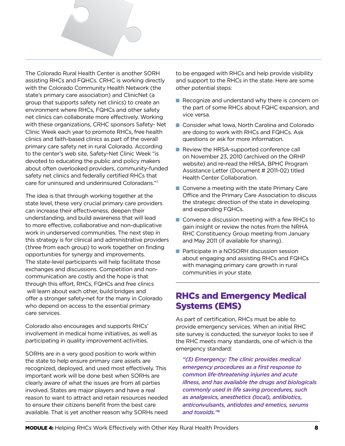The Colorado Rural Health Center is another SORH assisting RHCs and FQHCs. CRHC is working directly with the Colorado Community Health Network (the state's primary care association) and ClinicNet (a group that supports safety net clinics) to create an environment where RHCs, FQHCs and other safety net clinics can collaborate more effectively. Working with these organizations, CRHC sponsors Safety- Net Clinic Week each year to promote RHCs, free health clinics and faith-based clinics as part of the overall primary care safety net in rural Colorado. According to the center's web site, Safety-Net Clinic Week "is devoted to educating the public and policy makers about often overlooked providers, community-funded safety net clinics and federally certified RHCs that care for uninsured and underinsured Coloradans."7

The idea is that through working together at the state level, these very crucial primary care providers can increase their effectiveness, deepen their understanding, and build awareness that will lead to more effective, collaborative and non-duplicative work in underserved communities. The next step in this strategy is for clinical and administrative providers (three from each group) to work together on finding opportunities for synergy and improvements. The state-level participants will help facilitate those exchanges and discussions. Competition and noncommunication are costly and the hope is that through this effort, RHCs, FQHCs and free clinics will learn about each other, build bridges and offer a stronger safety-net for the many in Colorado who depend on access to the essential primary care services.

Colorado also encourages and supports RHCs' involvement in medical home initiatives, as well as participating in quality improvement activities.

SORHs are in a very good position to work within the state to help ensure primary care assets are recognized, deployed, and used most effectively. This important work will be done best when SORHs are clearly aware of what the issues are from all parties involved. States are major players and have a real reason to want to attract and retain resources needed to ensure their citizens benefit from the best care available. That is yet another reason why SORHs need to be engaged with RHCs and help provide visibility and support to the RHCs in the state. Here are some other potential steps:

- $\blacksquare$  Recognize and understand why there is concern on the part of some RHCs about FQHC expansion, and vice versa.
- Consider what Iowa, North Carolina and Colorado are doing to work with RHCs and FQHCs. Ask questions or ask for more information.
- Review the HRSA-supported conference call on November 23, 2010 (archived on the ORHP website) and re-read the HRSA, BPHC Program Assistance Letter (Document # 2011-02) titled Health Center Collaboration.
- $\blacksquare$  Convene a meeting with the state Primary Care Office and the Primary Care Association to discuss the strategic direction of the state in developing and expanding FQHCs.
- $\blacksquare$  Convene a discussion meeting with a few RHCs to gain insight or review the notes from the NRHA RHC Constituency Group meeting from January and May 2011 (if available for sharing).
- **n** Participate in a NOSORH discussion session about engaging and assisting RHCs and FQHCs with managing primary care growth in rural communities in your state.

### RHCs and Emergency Medical Systems (EMS)

As part of certification, RHCs must be able to provide emergency services. When an initial RHC site survey is conducted, the surveyor looks to see if the RHC meets many standards, one of which is the emergency standard:

*"(3) Emergency: The clinic provides medical emergency procedures as a first response to common life-threatening injuries and acute illness, and has available the drugs and biologicals commonly used in life saving procedures, such as analgesics, anesthetics (local), antibiotics, anticonvulsants, antidotes and emetics, serums and toxoids."8*